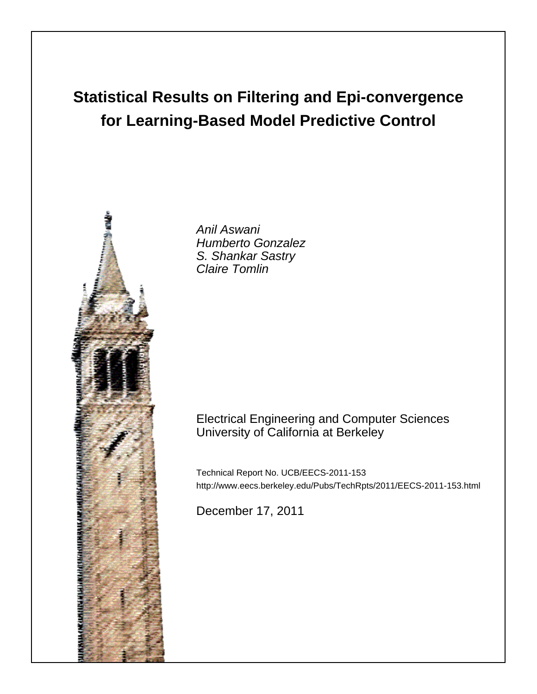# **Statistical Results on Filtering and Epi-convergence for Learning-Based Model Predictive Control**



Anil Aswani Humberto Gonzalez S. Shankar Sastry Claire Tomlin

## Electrical Engineering and Computer Sciences University of California at Berkeley

Technical Report No. UCB/EECS-2011-153 http://www.eecs.berkeley.edu/Pubs/TechRpts/2011/EECS-2011-153.html

December 17, 2011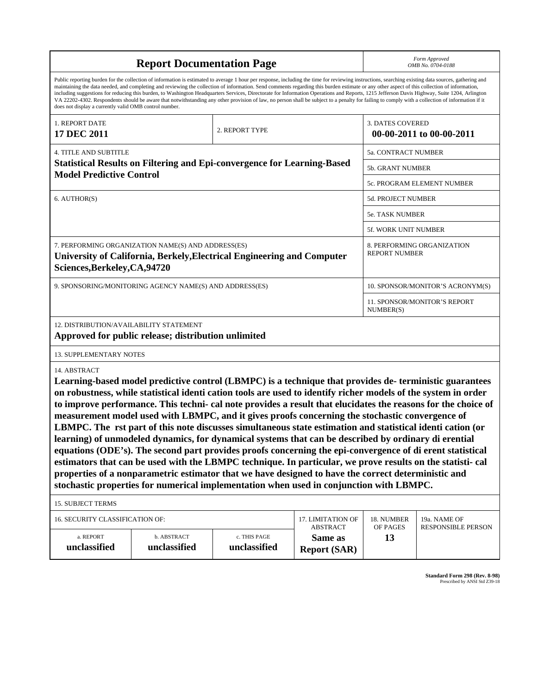| <b>Report Documentation Page</b>                                                                                                                                                                                                                                                                                                                                                                                                                                                                                                                                                                                                                                                                                                                                                                                                                                                                                                                                                                                                                                                                                |                             |                              |                                                   | Form Approved<br>OMB No. 0704-0188                 |                                           |
|-----------------------------------------------------------------------------------------------------------------------------------------------------------------------------------------------------------------------------------------------------------------------------------------------------------------------------------------------------------------------------------------------------------------------------------------------------------------------------------------------------------------------------------------------------------------------------------------------------------------------------------------------------------------------------------------------------------------------------------------------------------------------------------------------------------------------------------------------------------------------------------------------------------------------------------------------------------------------------------------------------------------------------------------------------------------------------------------------------------------|-----------------------------|------------------------------|---------------------------------------------------|----------------------------------------------------|-------------------------------------------|
| Public reporting burden for the collection of information is estimated to average 1 hour per response, including the time for reviewing instructions, searching existing data sources, gathering and<br>maintaining the data needed, and completing and reviewing the collection of information. Send comments regarding this burden estimate or any other aspect of this collection of information,<br>including suggestions for reducing this burden, to Washington Headquarters Services, Directorate for Information Operations and Reports, 1215 Jefferson Davis Highway, Suite 1204, Arlington<br>VA 22202-4302. Respondents should be aware that notwithstanding any other provision of law, no person shall be subject to a penalty for failing to comply with a collection of information if it<br>does not display a currently valid OMB control number.                                                                                                                                                                                                                                              |                             |                              |                                                   |                                                    |                                           |
| 1. REPORT DATE<br>17 DEC 2011                                                                                                                                                                                                                                                                                                                                                                                                                                                                                                                                                                                                                                                                                                                                                                                                                                                                                                                                                                                                                                                                                   |                             | 2. REPORT TYPE               |                                                   | 3. DATES COVERED                                   | 00-00-2011 to 00-00-2011                  |
| <b>4. TITLE AND SUBTITLE</b>                                                                                                                                                                                                                                                                                                                                                                                                                                                                                                                                                                                                                                                                                                                                                                                                                                                                                                                                                                                                                                                                                    |                             |                              |                                                   | 5a. CONTRACT NUMBER                                |                                           |
| <b>Statistical Results on Filtering and Epi-convergence for Learning-Based</b>                                                                                                                                                                                                                                                                                                                                                                                                                                                                                                                                                                                                                                                                                                                                                                                                                                                                                                                                                                                                                                  |                             |                              |                                                   | 5b. GRANT NUMBER                                   |                                           |
| <b>Model Predictive Control</b>                                                                                                                                                                                                                                                                                                                                                                                                                                                                                                                                                                                                                                                                                                                                                                                                                                                                                                                                                                                                                                                                                 |                             |                              |                                                   | 5c. PROGRAM ELEMENT NUMBER                         |                                           |
| 6. AUTHOR(S)                                                                                                                                                                                                                                                                                                                                                                                                                                                                                                                                                                                                                                                                                                                                                                                                                                                                                                                                                                                                                                                                                                    |                             |                              |                                                   | 5d. PROJECT NUMBER                                 |                                           |
|                                                                                                                                                                                                                                                                                                                                                                                                                                                                                                                                                                                                                                                                                                                                                                                                                                                                                                                                                                                                                                                                                                                 |                             |                              |                                                   | <b>5e. TASK NUMBER</b>                             |                                           |
|                                                                                                                                                                                                                                                                                                                                                                                                                                                                                                                                                                                                                                                                                                                                                                                                                                                                                                                                                                                                                                                                                                                 |                             |                              |                                                   | 5f. WORK UNIT NUMBER                               |                                           |
| 7. PERFORMING ORGANIZATION NAME(S) AND ADDRESS(ES)<br>University of California, Berkely, Electrical Engineering and Computer<br>Sciences, Berkeley, CA, 94720                                                                                                                                                                                                                                                                                                                                                                                                                                                                                                                                                                                                                                                                                                                                                                                                                                                                                                                                                   |                             |                              |                                                   | 8. PERFORMING ORGANIZATION<br><b>REPORT NUMBER</b> |                                           |
| 9. SPONSORING/MONITORING AGENCY NAME(S) AND ADDRESS(ES)                                                                                                                                                                                                                                                                                                                                                                                                                                                                                                                                                                                                                                                                                                                                                                                                                                                                                                                                                                                                                                                         |                             |                              |                                                   | 10. SPONSOR/MONITOR'S ACRONYM(S)                   |                                           |
|                                                                                                                                                                                                                                                                                                                                                                                                                                                                                                                                                                                                                                                                                                                                                                                                                                                                                                                                                                                                                                                                                                                 |                             |                              |                                                   | 11. SPONSOR/MONITOR'S REPORT<br>NUMBER(S)          |                                           |
| 12. DISTRIBUTION/AVAILABILITY STATEMENT<br>Approved for public release; distribution unlimited                                                                                                                                                                                                                                                                                                                                                                                                                                                                                                                                                                                                                                                                                                                                                                                                                                                                                                                                                                                                                  |                             |                              |                                                   |                                                    |                                           |
| 13. SUPPLEMENTARY NOTES                                                                                                                                                                                                                                                                                                                                                                                                                                                                                                                                                                                                                                                                                                                                                                                                                                                                                                                                                                                                                                                                                         |                             |                              |                                                   |                                                    |                                           |
| 14. ABSTRACT<br>Learning-based model predictive control (LBMPC) is a technique that provides de-terministic guarantees<br>on robustness, while statistical identi cation tools are used to identify richer models of the system in order<br>to improve performance. This techni- cal note provides a result that elucidates the reasons for the choice of<br>measurement model used with LBMPC, and it gives proofs concerning the stochastic convergence of<br>LBMPC. The rst part of this note discusses simultaneous state estimation and statistical identi cation (or<br>learning) of unmodeled dynamics, for dynamical systems that can be described by ordinary di erential<br>equations (ODE's). The second part provides proofs concerning the epi-convergence of di erent statistical<br>estimators that can be used with the LBMPC technique. In particular, we prove results on the statisti- cal<br>properties of a nonparametric estimator that we have designed to have the correct deterministic and<br>stochastic properties for numerical implementation when used in conjunction with LBMPC. |                             |                              |                                                   |                                                    |                                           |
| <b>15. SUBJECT TERMS</b>                                                                                                                                                                                                                                                                                                                                                                                                                                                                                                                                                                                                                                                                                                                                                                                                                                                                                                                                                                                                                                                                                        |                             |                              |                                                   |                                                    |                                           |
| 16. SECURITY CLASSIFICATION OF:<br>17. LIMITATION OF                                                                                                                                                                                                                                                                                                                                                                                                                                                                                                                                                                                                                                                                                                                                                                                                                                                                                                                                                                                                                                                            |                             |                              |                                                   | 18. NUMBER<br>OF PAGES                             | 19a. NAME OF<br><b>RESPONSIBLE PERSON</b> |
| a. REPORT<br>unclassified                                                                                                                                                                                                                                                                                                                                                                                                                                                                                                                                                                                                                                                                                                                                                                                                                                                                                                                                                                                                                                                                                       | b. ABSTRACT<br>unclassified | c. THIS PAGE<br>unclassified | <b>ABSTRACT</b><br>Same as<br><b>Report (SAR)</b> | 13                                                 |                                           |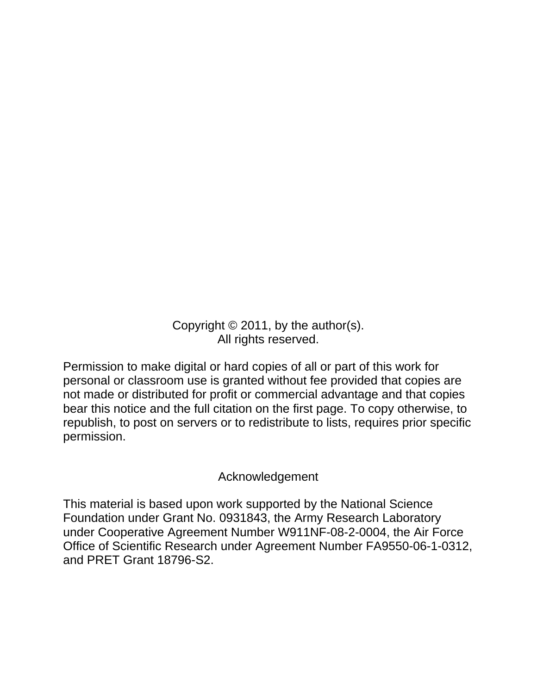Copyright © 2011, by the author(s). All rights reserved.

Permission to make digital or hard copies of all or part of this work for personal or classroom use is granted without fee provided that copies are not made or distributed for profit or commercial advantage and that copies bear this notice and the full citation on the first page. To copy otherwise, to republish, to post on servers or to redistribute to lists, requires prior specific permission.

## Acknowledgement

This material is based upon work supported by the National Science Foundation under Grant No. 0931843, the Army Research Laboratory under Cooperative Agreement Number W911NF-08-2-0004, the Air Force Office of Scientific Research under Agreement Number FA9550-06-1-0312, and PRET Grant 18796-S2.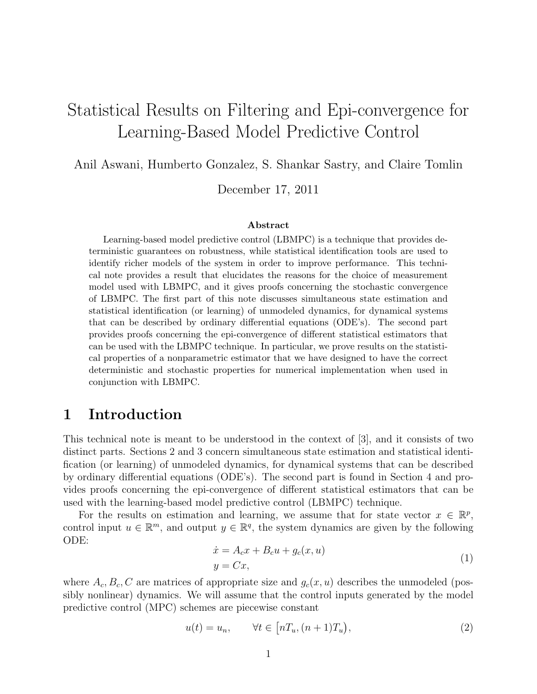## Statistical Results on Filtering and Epi-convergence for Learning-Based Model Predictive Control

Anil Aswani, Humberto Gonzalez, S. Shankar Sastry, and Claire Tomlin

December 17, 2011

#### Abstract

Learning-based model predictive control (LBMPC) is a technique that provides deterministic guarantees on robustness, while statistical identification tools are used to identify richer models of the system in order to improve performance. This technical note provides a result that elucidates the reasons for the choice of measurement model used with LBMPC, and it gives proofs concerning the stochastic convergence of LBMPC. The first part of this note discusses simultaneous state estimation and statistical identification (or learning) of unmodeled dynamics, for dynamical systems that can be described by ordinary differential equations (ODE's). The second part provides proofs concerning the epi-convergence of different statistical estimators that can be used with the LBMPC technique. In particular, we prove results on the statistical properties of a nonparametric estimator that we have designed to have the correct deterministic and stochastic properties for numerical implementation when used in conjunction with LBMPC.

### 1 Introduction

This technical note is meant to be understood in the context of [3], and it consists of two distinct parts. Sections 2 and 3 concern simultaneous state estimation and statistical identification (or learning) of unmodeled dynamics, for dynamical systems that can be described by ordinary differential equations (ODE's). The second part is found in Section 4 and provides proofs concerning the epi-convergence of different statistical estimators that can be used with the learning-based model predictive control (LBMPC) technique.

For the results on estimation and learning, we assume that for state vector  $x \in \mathbb{R}^p$ , control input  $u \in \mathbb{R}^m$ , and output  $y \in \mathbb{R}^q$ , the system dynamics are given by the following ODE:

$$
\begin{aligned} \dot{x} &= A_c x + B_c u + g_c(x, u) \\ y &= Cx, \end{aligned} \tag{1}
$$

where  $A_c, B_c, C$  are matrices of appropriate size and  $g_c(x, u)$  describes the unmodeled (possibly nonlinear) dynamics. We will assume that the control inputs generated by the model predictive control (MPC) schemes are piecewise constant

$$
u(t) = u_n, \qquad \forall t \in \left[ nT_u, (n+1)T_u \right), \tag{2}
$$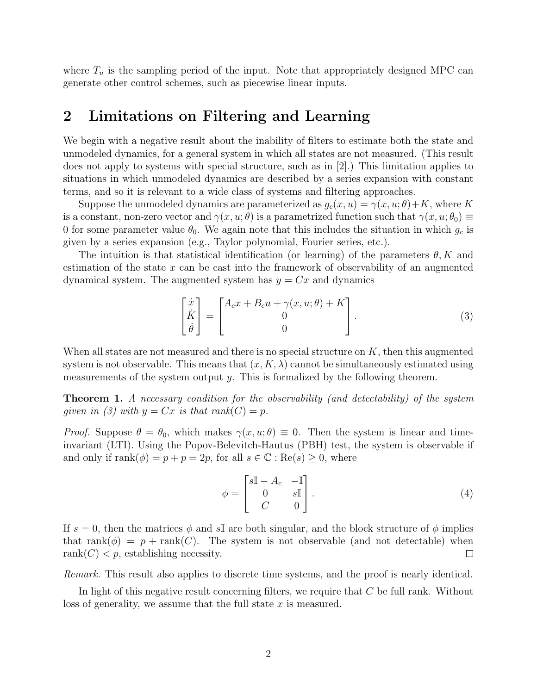where  $T_u$  is the sampling period of the input. Note that appropriately designed MPC can generate other control schemes, such as piecewise linear inputs.

## 2 Limitations on Filtering and Learning

We begin with a negative result about the inability of filters to estimate both the state and unmodeled dynamics, for a general system in which all states are not measured. (This result does not apply to systems with special structure, such as in [2].) This limitation applies to situations in which unmodeled dynamics are described by a series expansion with constant terms, and so it is relevant to a wide class of systems and filtering approaches.

Suppose the unmodeled dynamics are parameterized as  $g_c(x, u) = \gamma(x, u; \theta) + K$ , where K is a constant, non-zero vector and  $\gamma(x, u; \theta)$  is a parametrized function such that  $\gamma(x, u; \theta_0) \equiv$ 0 for some parameter value  $\theta_0$ . We again note that this includes the situation in which  $g_c$  is given by a series expansion (e.g., Taylor polynomial, Fourier series, etc.).

The intuition is that statistical identification (or learning) of the parameters  $\theta, K$  and estimation of the state x can be cast into the framework of observability of an augmented dynamical system. The augmented system has  $y = Cx$  and dynamics

$$
\begin{bmatrix} \dot{x} \\ \dot{K} \\ \dot{\theta} \end{bmatrix} = \begin{bmatrix} A_c x + B_c u + \gamma(x, u; \theta) + K \\ 0 \\ 0 \end{bmatrix}.
$$
 (3)

When all states are not measured and there is no special structure on  $K$ , then this augmented system is not observable. This means that  $(x, K, \lambda)$  cannot be simultaneously estimated using measurements of the system output  $y$ . This is formalized by the following theorem.

Theorem 1. A necessary condition for the observability (and detectability) of the system given in (3) with  $y = Cx$  is that rank $(C) = p$ .

*Proof.* Suppose  $\theta = \theta_0$ , which makes  $\gamma(x, u; \theta) \equiv 0$ . Then the system is linear and timeinvariant (LTI). Using the Popov-Belevitch-Hautus (PBH) test, the system is observable if and only if  $\text{rank}(\phi) = p + p = 2p$ , for all  $s \in \mathbb{C} : \text{Re}(s) \geq 0$ , where

$$
\phi = \begin{bmatrix} s\mathbb{I} - A_c & -\mathbb{I} \\ 0 & s\mathbb{I} \\ C & 0 \end{bmatrix} . \tag{4}
$$

If  $s = 0$ , then the matrices  $\phi$  and  $s\mathbb{I}$  are both singular, and the block structure of  $\phi$  implies that rank( $\phi$ ) = p + rank(C). The system is not observable (and not detectable) when rank $(C)$  < p, establishing necessity.  $\Box$ 

Remark. This result also applies to discrete time systems, and the proof is nearly identical.

In light of this negative result concerning filters, we require that  $C$  be full rank. Without loss of generality, we assume that the full state  $x$  is measured.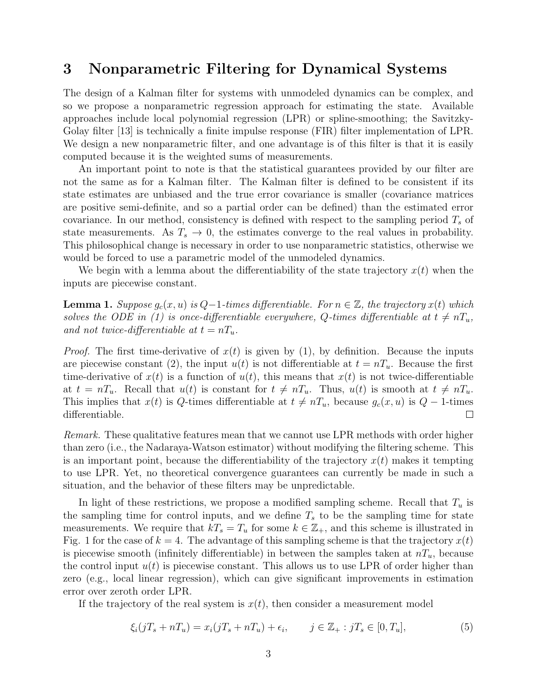## 3 Nonparametric Filtering for Dynamical Systems

The design of a Kalman filter for systems with unmodeled dynamics can be complex, and so we propose a nonparametric regression approach for estimating the state. Available approaches include local polynomial regression (LPR) or spline-smoothing; the Savitzky-Golay filter [13] is technically a finite impulse response (FIR) filter implementation of LPR. We design a new nonparametric filter, and one advantage is of this filter is that it is easily computed because it is the weighted sums of measurements.

An important point to note is that the statistical guarantees provided by our filter are not the same as for a Kalman filter. The Kalman filter is defined to be consistent if its state estimates are unbiased and the true error covariance is smaller (covariance matrices are positive semi-definite, and so a partial order can be defined) than the estimated error covariance. In our method, consistency is defined with respect to the sampling period  $T<sub>s</sub>$  of state measurements. As  $T_s \to 0$ , the estimates converge to the real values in probability. This philosophical change is necessary in order to use nonparametric statistics, otherwise we would be forced to use a parametric model of the unmodeled dynamics.

We begin with a lemma about the differentiability of the state trajectory  $x(t)$  when the inputs are piecewise constant.

**Lemma 1.** Suppose  $g_c(x, u)$  is Q-1-times differentiable. For  $n \in \mathbb{Z}$ , the trajectory  $x(t)$  which solves the ODE in (1) is once-differentiable everywhere, Q-times differentiable at  $t \neq nT_u$ , and not twice-differentiable at  $t = nT_u$ .

*Proof.* The first time-derivative of  $x(t)$  is given by (1), by definition. Because the inputs are piecewise constant (2), the input  $u(t)$  is not differentiable at  $t = nT_u$ . Because the first time-derivative of  $x(t)$  is a function of  $u(t)$ , this means that  $x(t)$  is not twice-differentiable at  $t = nT_u$ . Recall that  $u(t)$  is constant for  $t \neq nT_u$ . Thus,  $u(t)$  is smooth at  $t \neq nT_u$ . This implies that  $x(t)$  is Q-times differentiable at  $t \neq nT_u$ , because  $g_c(x, u)$  is  $Q - 1$ -times differentiable.  $\Box$ 

Remark. These qualitative features mean that we cannot use LPR methods with order higher than zero (i.e., the Nadaraya-Watson estimator) without modifying the filtering scheme. This is an important point, because the differentiability of the trajectory  $x(t)$  makes it tempting to use LPR. Yet, no theoretical convergence guarantees can currently be made in such a situation, and the behavior of these filters may be unpredictable.

In light of these restrictions, we propose a modified sampling scheme. Recall that  $T_u$  is the sampling time for control inputs, and we define  $T<sub>s</sub>$  to be the sampling time for state measurements. We require that  $kT_s = T_u$  for some  $k \in \mathbb{Z}_+$ , and this scheme is illustrated in Fig. 1 for the case of  $k = 4$ . The advantage of this sampling scheme is that the trajectory  $x(t)$ is piecewise smooth (infinitely differentiable) in between the samples taken at  $nT_u$ , because the control input  $u(t)$  is piecewise constant. This allows us to use LPR of order higher than zero (e.g., local linear regression), which can give significant improvements in estimation error over zeroth order LPR.

If the trajectory of the real system is  $x(t)$ , then consider a measurement model

$$
\xi_i(jT_s + nT_u) = x_i(jT_s + nT_u) + \epsilon_i, \qquad j \in \mathbb{Z}_+ : jT_s \in [0, T_u],
$$
\n
$$
(5)
$$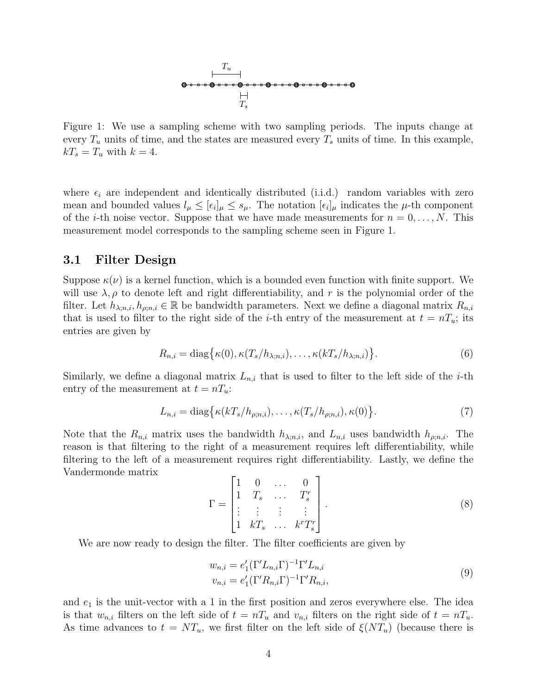

Figure 1: We use a sampling scheme with two sampling periods. The inputs change at every  $T_u$  units of time, and the states are measured every  $T_s$  units of time. In this example,  $kT_s = T_u$  with  $k = 4$ .

where  $\epsilon_i$  are independent and identically distributed (i.i.d.) random variables with zero mean and bounded values  $l_\mu \leq [\epsilon_i]_\mu \leq s_\mu$ . The notation  $[\epsilon_i]_\mu$  indicates the  $\mu$ -th component of the *i*-th noise vector. Suppose that we have made measurements for  $n = 0, \ldots, N$ . This measurement model corresponds to the sampling scheme seen in Figure 1.

#### 3.1 Filter Design

Suppose  $\kappa(\nu)$  is a kernel function, which is a bounded even function with finite support. We will use  $\lambda$ ,  $\rho$  to denote left and right differentiability, and r is the polynomial order of the filter. Let  $h_{\lambda; n,i}$ ,  $h_{\rho; n,i} \in \mathbb{R}$  be bandwidth parameters. Next we define a diagonal matrix  $R_{n,i}$ that is used to filter to the right side of the *i*-th entry of the measurement at  $t = nT_u$ ; its entries are given by

$$
R_{n,i} = \text{diag}\{\kappa(0), \kappa(T_s/h_{\lambda; n,i}), \dots, \kappa(kT_s/h_{\lambda; n,i})\}.
$$
\n
$$
(6)
$$

Similarly, we define a diagonal matrix  $L_{n,i}$  that is used to filter to the left side of the *i*-th entry of the measurement at  $t = nT_u$ :

$$
L_{n,i} = \text{diag}\left\{\kappa(kT_s/h_{\rho;n,i}), \dots, \kappa(T_s/h_{\rho;n,i}), \kappa(0)\right\}.
$$
 (7)

Note that the  $R_{n,i}$  matrix uses the bandwidth  $h_{\lambda;n,i}$ , and  $L_{n,i}$  uses bandwidth  $h_{\rho;n,i}$ . The reason is that filtering to the right of a measurement requires left differentiability, while filtering to the left of a measurement requires right differentiability. Lastly, we define the Vandermonde matrix

$$
\Gamma = \begin{bmatrix} 1 & 0 & \dots & 0 \\ 1 & T_s & \dots & T_s^r \\ \vdots & \vdots & \vdots & \vdots \\ 1 & kT_s & \dots & k^r T_s^r \end{bmatrix} . \tag{8}
$$

We are now ready to design the filter. The filter coefficients are given by

$$
w_{n,i} = e'_1 (\Gamma' L_{n,i} \Gamma)^{-1} \Gamma' L_{n,i}
$$
  
\n
$$
v_{n,i} = e'_1 (\Gamma' R_{n,i} \Gamma)^{-1} \Gamma' R_{n,i},
$$
\n(9)

and  $e_1$  is the unit-vector with a 1 in the first position and zeros everywhere else. The idea is that  $w_{n,i}$  filters on the left side of  $t = nT_u$  and  $v_{n,i}$  filters on the right side of  $t = nT_u$ . As time advances to  $t = NT_u$ , we first filter on the left side of  $\xi(NT_u)$  (because there is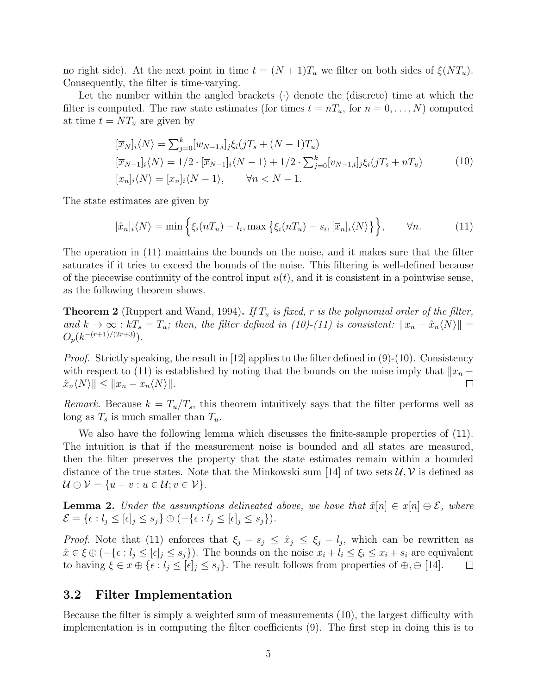no right side). At the next point in time  $t = (N+1)T_u$  we filter on both sides of  $\xi(NT_u)$ . Consequently, the filter is time-varying.

Let the number within the angled brackets  $\langle \cdot \rangle$  denote the (discrete) time at which the filter is computed. The raw state estimates (for times  $t = nT_u$ , for  $n = 0, \ldots, N$ ) computed at time  $t = NT_u$  are given by

$$
[\overline{x}_N]_i \langle N \rangle = \sum_{j=0}^k [w_{N-1,i}]_j \xi_i (jT_s + (N-1)T_u)
$$
  
\n
$$
[\overline{x}_{N-1}]_i \langle N \rangle = 1/2 \cdot [\overline{x}_{N-1}]_i \langle N-1 \rangle + 1/2 \cdot \sum_{j=0}^k [v_{N-1,i}]_j \xi_i (jT_s + nT_u)
$$
  
\n
$$
[\overline{x}_n]_i \langle N \rangle = [\overline{x}_n]_i \langle N-1 \rangle, \qquad \forall n < N-1.
$$
\n(10)

The state estimates are given by

$$
[\hat{x}_n]_i \langle N \rangle = \min \left\{ \xi_i(nT_u) - l_i, \max \left\{ \xi_i(nT_u) - s_i, [\overline{x}_n]_i \langle N \rangle \right\} \right\}, \qquad \forall n. \tag{11}
$$

The operation in (11) maintains the bounds on the noise, and it makes sure that the filter saturates if it tries to exceed the bounds of the noise. This filtering is well-defined because of the piecewise continuity of the control input  $u(t)$ , and it is consistent in a pointwise sense, as the following theorem shows.

**Theorem 2** (Ruppert and Wand, 1994). If  $T_u$  is fixed, r is the polynomial order of the filter, and  $k \to \infty$  :  $kT_s = T_u$ ; then, the filter defined in (10)-(11) is consistent:  $||x_n - \hat{x}_n \langle N \rangle|| =$  $O_p(k^{-(r+1)/(2r+3)})$ .

*Proof.* Strictly speaking, the result in [12] applies to the filter defined in  $(9)-(10)$ . Consistency with respect to (11) is established by noting that the bounds on the noise imply that  $\|x_n \|\hat{x}_n\langle N\rangle\| \leq \|x_n - \overline{x}_n\langle N\rangle\|.$  $\Box$ 

Remark. Because  $k = T_u/T_s$ , this theorem intuitively says that the filter performs well as long as  $T_s$  is much smaller than  $T_u$ .

We also have the following lemma which discusses the finite-sample properties of  $(11)$ . The intuition is that if the measurement noise is bounded and all states are measured, then the filter preserves the property that the state estimates remain within a bounded distance of the true states. Note that the Minkowski sum [14] of two sets  $\mathcal{U}, \mathcal{V}$  is defined as  $\mathcal{U} \oplus \mathcal{V} = \{u + v : u \in \mathcal{U}; v \in \mathcal{V}\}.$ 

**Lemma 2.** Under the assumptions delineated above, we have that  $\hat{x}[n] \in x[n] \oplus \mathcal{E}$ , where  $\mathcal{E} = \{ \epsilon : l_j \leq [\epsilon]_j \leq s_j \} \oplus (-\{ \epsilon : l_j \leq [\epsilon]_j \leq s_j \}).$ 

*Proof.* Note that (11) enforces that  $\xi_j - s_j \leq \hat{x}_j \leq \xi_j - l_j$ , which can be rewritten as  $\hat{x} \in \xi \oplus (-\{\epsilon : l_j \leq [\epsilon]_j \leq s_j\}).$  The bounds on the noise  $x_i + l_i \leq \xi_i \leq x_i + s_i$  are equivalent to having  $\xi \in x \oplus {\epsilon : l_j \leq {\epsilon}_j \leq s_j}$ . The result follows from properties of  $\oplus$ ,  $\ominus$  [14]. ⊔

### 3.2 Filter Implementation

Because the filter is simply a weighted sum of measurements (10), the largest difficulty with implementation is in computing the filter coefficients (9). The first step in doing this is to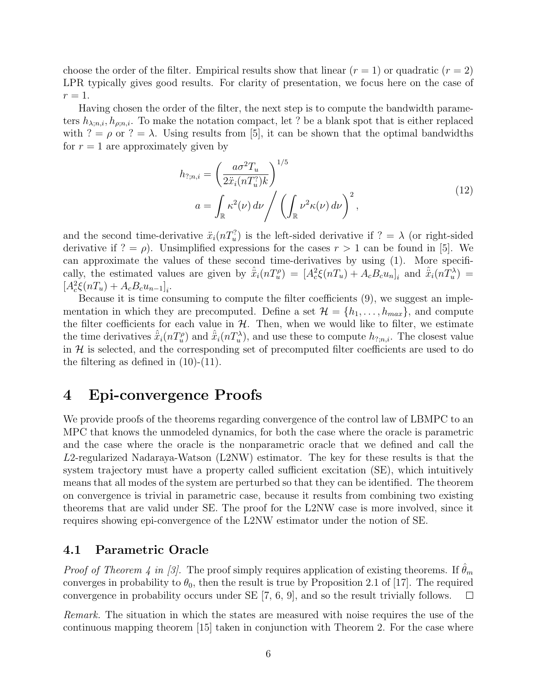choose the order of the filter. Empirical results show that linear  $(r = 1)$  or quadratic  $(r = 2)$ LPR typically gives good results. For clarity of presentation, we focus here on the case of  $r=1$ .

Having chosen the order of the filter, the next step is to compute the bandwidth parameters  $h_{\lambda:n,i}, h_{\rho:n,i}$ . To make the notation compact, let ? be a blank spot that is either replaced with ? =  $\rho$  or ? =  $\lambda$ . Using results from [5], it can be shown that the optimal bandwidths for  $r = 1$  are approximately given by

$$
h_{?,n,i} = \left(\frac{a\sigma^2 T_u}{2\ddot{x}_i(nT_u^2)k}\right)^{1/5}
$$
  

$$
a = \int_{\mathbb{R}} \kappa^2(\nu) d\nu \Bigg/ \left(\int_{\mathbb{R}} \nu^2 \kappa(\nu) d\nu\right)^2,
$$
 (12)

and the second time-derivative  $\ddot{x}_i(nT_u^2)$  is the left-sided derivative if  $? = \lambda$  (or right-sided derivative if  $? = \rho$ ). Unsimplified expressions for the cases  $r > 1$  can be found in [5]. We can approximate the values of these second time-derivatives by using (1). More specifically, the estimated values are given by  $\hat{\ddot{x}}_i(nT_u^{\rho}) = [A_c^2 \xi(nT_u) + A_c B_c u_n]_i$  and  $\hat{\ddot{x}}_i(nT_u^{\lambda}) =$  $[A_c^2 \xi(nT_u) + A_c B_c u_{n-1}]_i.$ 

Because it is time consuming to compute the filter coefficients (9), we suggest an implementation in which they are precomputed. Define a set  $\mathcal{H} = \{h_1, \ldots, h_{max}\}\$ , and compute the filter coefficients for each value in  $H$ . Then, when we would like to filter, we estimate the time derivatives  $\hat{\ddot{x}}_i(nT_u^{\rho})$  and  $\hat{\ddot{x}}_i(nT_u^{\lambda})$ , and use these to compute  $h_{?,n,i}$ . The closest value in  $\mathcal H$  is selected, and the corresponding set of precomputed filter coefficients are used to do the filtering as defined in (10)-(11).

## 4 Epi-convergence Proofs

We provide proofs of the theorems regarding convergence of the control law of LBMPC to an MPC that knows the unmodeled dynamics, for both the case where the oracle is parametric and the case where the oracle is the nonparametric oracle that we defined and call the L2-regularized Nadaraya-Watson (L2NW) estimator. The key for these results is that the system trajectory must have a property called sufficient excitation (SE), which intuitively means that all modes of the system are perturbed so that they can be identified. The theorem on convergence is trivial in parametric case, because it results from combining two existing theorems that are valid under SE. The proof for the L2NW case is more involved, since it requires showing epi-convergence of the L2NW estimator under the notion of SE.

#### 4.1 Parametric Oracle

*Proof of Theorem 4 in [3].* The proof simply requires application of existing theorems. If  $\theta_m$ converges in probability to  $\theta_0$ , then the result is true by Proposition 2.1 of [17]. The required convergence in probability occurs under SE [7, 6, 9], and so the result trivially follows.  $\Box$ 

Remark. The situation in which the states are measured with noise requires the use of the continuous mapping theorem [15] taken in conjunction with Theorem 2. For the case where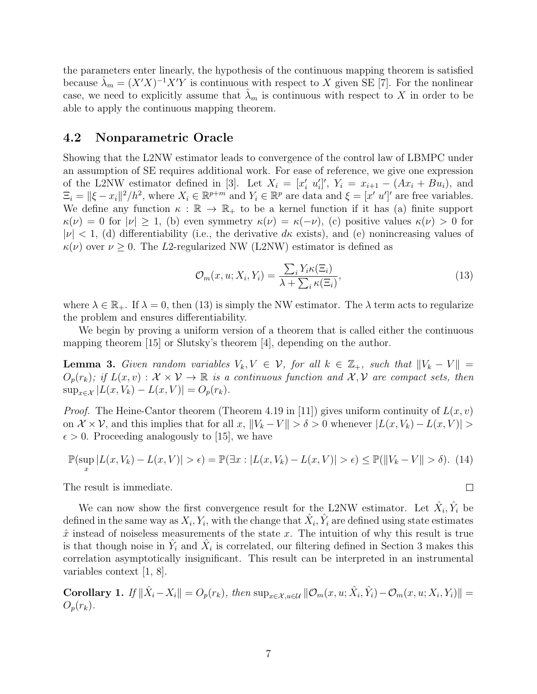the parameters enter linearly, the hypothesis of the continuous mapping theorem is satisfied because  $\hat{\lambda}_m = (X'X)^{-1}X'Y$  is continuous with respect to X given SE [7]. For the nonlinear case, we need to explicitly assume that  $\lambda_m$  is continuous with respect to X in order to be able to apply the continuous mapping theorem.

#### 4.2 Nonparametric Oracle

Showing that the L2NW estimator leads to convergence of the control law of LBMPC under an assumption of SE requires additional work. For ease of reference, we give one expression of the L2NW estimator defined in [3]. Let  $X_i = [x'_i \ u'_i]'$ ,  $Y_i = x_{i+1} - (Ax_i + Bu_i)$ , and  $\Xi_i = ||\xi - x_i||^2 / h^2$ , where  $X_i \in \mathbb{R}^{p+m}$  and  $Y_i \in \mathbb{R}^p$  are data and  $\xi = [x, u']$  are free variables. We define any function  $\kappa : \mathbb{R} \to \mathbb{R}_+$  to be a kernel function if it has (a) finite support  $\kappa(\nu) = 0$  for  $|\nu| \geq 1$ , (b) even symmetry  $\kappa(\nu) = \kappa(-\nu)$ , (c) positive values  $\kappa(\nu) > 0$  for  $|\nu| < 1$ , (d) differentiability (i.e., the derivative d<sub>k</sub> exists), and (e) nonincreasing values of  $\kappa(\nu)$  over  $\nu \geq 0$ . The L2-regularized NW (L2NW) estimator is defined as

$$
\mathcal{O}_m(x, u; X_i, Y_i) = \frac{\sum_i Y_i \kappa(\Xi_i)}{\lambda + \sum_i \kappa(\Xi_i)},
$$
\n(13)

 $\Box$ 

where  $\lambda \in \mathbb{R}_+$ . If  $\lambda = 0$ , then (13) is simply the NW estimator. The  $\lambda$  term acts to regularize the problem and ensures differentiability.

We begin by proving a uniform version of a theorem that is called either the continuous mapping theorem [15] or Slutsky's theorem [4], depending on the author.

**Lemma 3.** Given random variables  $V_k, V \in \mathcal{V}$ , for all  $k \in \mathbb{Z}_+$ , such that  $||V_k - V|| =$  $O_p(r_k)$ ; if  $L(x, v) : \mathcal{X} \times \mathcal{V} \to \mathbb{R}$  is a continuous function and  $\mathcal{X}, \mathcal{V}$  are compact sets, then  $\sup_{x \in \mathcal{X}} |L(x, V_k) - L(x, V)| = O_p(r_k).$ 

*Proof.* The Heine-Cantor theorem (Theorem 4.19 in [11]) gives uniform continuity of  $L(x, v)$ on  $\mathcal{X} \times \mathcal{V}$ , and this implies that for all  $x, \|V_k - V\| > \delta > 0$  whenever  $|L(x, V_k) - L(x, V)| >$  $\epsilon > 0$ . Proceeding analogously to [15], we have

$$
\mathbb{P}(\sup_x |L(x, V_k) - L(x, V)| > \epsilon) = \mathbb{P}(\exists x : |L(x, V_k) - L(x, V)| > \epsilon) \le \mathbb{P}(\|V_k - V\| > \delta). \tag{14}
$$

The result is immediate.

We can now show the first convergence result for the L2NW estimator. Let  $\hat{X}_i, \hat{Y}_i$  be defined in the same way as  $X_i, Y_i$ , with the change that  $\hat{X}_i, \hat{Y}_i$  are defined using state estimates  $\hat{x}$  instead of noiseless measurements of the state x. The intuition of why this result is true is that though noise in  $\hat{Y}_i$  and  $\hat{X}_i$  is correlated, our filtering defined in Section 3 makes this correlation asymptotically insignificant. This result can be interpreted in an instrumental variables context [1, 8].

Corollary 1. If  $\|\hat{X}_i - X_i\| = O_p(r_k)$ , then  $\sup_{x \in \mathcal{X}, u \in \mathcal{U}} \|\mathcal{O}_m(x, u; \hat{X}_i, \hat{Y}_i) - \mathcal{O}_m(x, u; X_i, Y_i)\|$  $O_p(r_k)$ .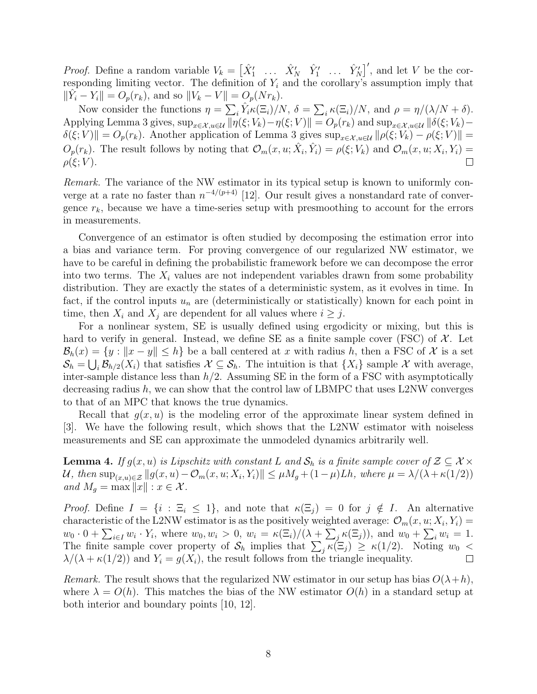*Proof.* Define a random variable  $V_k = \begin{bmatrix} \hat{X}'_1 & \dots & \hat{X}'_N & \hat{Y}'_1 & \dots & \hat{Y}'_N \end{bmatrix}'$ , and let V be the corresponding limiting vector. The definition of  $Y_i$  and the corollary's assumption imply that  $\|\hat{Y}_i - Y_i\| = O_p(r_k)$ , and so  $\|V_k - V\| = O_p(Nr_k)$ .

Now consider the functions  $\eta = \sum_i \hat{Y}_i \kappa(\Xi_i)/N$ ,  $\delta = \sum_i \kappa(\Xi_i)/N$ , and  $\rho = \eta/(\lambda/N + \delta)$ . Applying Lemma 3 gives,  $\sup_{x \in \mathcal{X}, u \in \mathcal{U}} ||\eta(\xi; V_k) - \eta(\xi; V) || = O_p(r_k)$  and  $\sup_{x \in \mathcal{X}, u \in \mathcal{U}} ||\delta(\xi; V_k) - \eta(\xi; V) ||$  $\delta(\xi; V)$  =  $O_p(r_k)$ . Another application of Lemma 3 gives  $\sup_{x \in \mathcal{X}, u \in \mathcal{U}} ||\rho(\xi; V_k) - \rho(\xi; V) || =$  $O_p(r_k)$ . The result follows by noting that  $\mathcal{O}_m(x, u; \hat{X}_i, \hat{Y}_i) = \rho(\xi; V_k)$  and  $\mathcal{O}_m(x, u; X_i, Y_i) =$  $\Box$  $\rho(\xi; V)$ .

Remark. The variance of the NW estimator in its typical setup is known to uniformly converge at a rate no faster than  $n^{-4/(p+4)}$  [12]. Our result gives a nonstandard rate of convergence  $r_k$ , because we have a time-series setup with presmoothing to account for the errors in measurements.

Convergence of an estimator is often studied by decomposing the estimation error into a bias and variance term. For proving convergence of our regularized NW estimator, we have to be careful in defining the probabilistic framework before we can decompose the error into two terms. The  $X_i$  values are not independent variables drawn from some probability distribution. They are exactly the states of a deterministic system, as it evolves in time. In fact, if the control inputs  $u_n$  are (deterministically or statistically) known for each point in time, then  $X_i$  and  $X_j$  are dependent for all values where  $i \geq j$ .

For a nonlinear system, SE is usually defined using ergodicity or mixing, but this is hard to verify in general. Instead, we define SE as a finite sample cover (FSC) of  $\mathcal{X}$ . Let  $\mathcal{B}_h(x) = \{y : ||x - y|| \leq h\}$  be a ball centered at x with radius h, then a FSC of X is a set  $\mathcal{S}_h = \bigcup_i \mathcal{B}_{h/2}(X_i)$  that satisfies  $\mathcal{X} \subseteq \mathcal{S}_h$ . The intuition is that  $\{X_i\}$  sample X with average, inter-sample distance less than  $h/2$ . Assuming SE in the form of a FSC with asymptotically decreasing radius  $h$ , we can show that the control law of LBMPC that uses L2NW converges to that of an MPC that knows the true dynamics.

Recall that  $g(x, u)$  is the modeling error of the approximate linear system defined in [3]. We have the following result, which shows that the L2NW estimator with noiseless measurements and SE can approximate the unmodeled dynamics arbitrarily well.

**Lemma 4.** If  $g(x, u)$  is Lipschitz with constant L and  $S_h$  is a finite sample cover of  $\mathcal{Z} \subseteq \mathcal{X} \times$ U, then  $\sup_{(x,u)\in\mathcal{Z}}\|g(x,u)-\mathcal{O}_m(x,u;X_i,Y_i)\|\leq \mu M_g+(1-\mu)Lh$ , where  $\mu=\lambda/(\lambda+\kappa(1/2))$ and  $M_q = \max ||x|| : x \in \mathcal{X}$ .

*Proof.* Define  $I = \{i : \Xi_i \leq 1\}$ , and note that  $\kappa(\Xi_j) = 0$  for  $j \notin I$ . An alternative characteristic of the L2NW estimator is as the positively weighted average:  $\mathcal{O}_m(x, u; X_i, Y_i) =$  $w_0\cdot 0+\sum_{i\in I}w_i\cdot Y_i$ , where  $w_0,w_i>0$ ,  $w_i=\kappa(\Xi_i)/(\lambda+\sum_j \kappa(\Xi_j))$ , and  $w_0+\sum_i w_i=1$ . The finite sample cover property of  $S_h$  implies that  $\sum_j \kappa(\Xi_j) \geq \kappa(1/2)$ . Noting  $w_0$  <  $\lambda/(\lambda + \kappa(1/2))$  and  $Y_i = g(X_i)$ , the result follows from the triangle inequality.  $\Box$ 

Remark. The result shows that the regularized NW estimator in our setup has bias  $O(\lambda + h)$ , where  $\lambda = O(h)$ . This matches the bias of the NW estimator  $O(h)$  in a standard setup at both interior and boundary points [10, 12].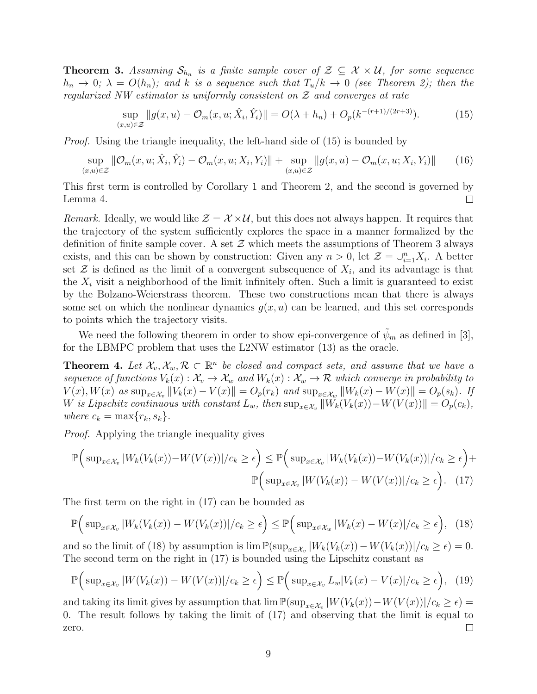**Theorem 3.** Assuming  $S_{h_n}$  is a finite sample cover of  $\mathcal{Z} \subseteq \mathcal{X} \times \mathcal{U}$ , for some sequence  $h_n \to 0$ ;  $\lambda = O(h_n)$ ; and k is a sequence such that  $T_u/k \to 0$  (see Theorem 2); then the regularized NW estimator is uniformly consistent on  $\mathcal Z$  and converges at rate

$$
\sup_{(x,u)\in\mathcal{Z}}\|g(x,u)-\mathcal{O}_m(x,u;\hat{X}_i,\hat{Y}_i)\| = O(\lambda + h_n) + O_p(k^{-(r+1)/(2r+3)}).
$$
 (15)

*Proof.* Using the triangle inequality, the left-hand side of (15) is bounded by

$$
\sup_{(x,u)\in\mathcal{Z}}\|\mathcal{O}_m(x,u;\hat{X}_i,\hat{Y}_i)-\mathcal{O}_m(x,u;X_i,Y_i)\|+\sup_{(x,u)\in\mathcal{Z}}\|g(x,u)-\mathcal{O}_m(x,u;X_i,Y_i)\| \qquad(16)
$$

This first term is controlled by Corollary 1 and Theorem 2, and the second is governed by Lemma 4.  $\Box$ 

Remark. Ideally, we would like  $\mathcal{Z} = \mathcal{X} \times \mathcal{U}$ , but this does not always happen. It requires that the trajectory of the system sufficiently explores the space in a manner formalized by the definition of finite sample cover. A set  $\mathcal Z$  which meets the assumptions of Theorem 3 always exists, and this can be shown by construction: Given any  $n > 0$ , let  $\mathcal{Z} = \bigcup_{i=1}^{n} X_i$ . A better set  $\mathcal Z$  is defined as the limit of a convergent subsequence of  $X_i$ , and its advantage is that the  $X_i$  visit a neighborhood of the limit infinitely often. Such a limit is guaranteed to exist by the Bolzano-Weierstrass theorem. These two constructions mean that there is always some set on which the nonlinear dynamics  $g(x, u)$  can be learned, and this set corresponds to points which the trajectory visits.

We need the following theorem in order to show epi-convergence of  $\psi_m$  as defined in [3], for the LBMPC problem that uses the L2NW estimator (13) as the oracle.

**Theorem 4.** Let  $\mathcal{X}_v, \mathcal{X}_w, \mathcal{R} \subset \mathbb{R}^n$  be closed and compact sets, and assume that we have a sequence of functions  $V_k(x): \mathcal{X}_v \to \mathcal{X}_w$  and  $W_k(x): \mathcal{X}_w \to \mathcal{R}$  which converge in probability to  $V(x), W(x)$  as  $\sup_{x \in \mathcal{X}_v} ||V_k(x) - V(x)|| = O_p(r_k)$  and  $\sup_{x \in \mathcal{X}_w} ||W_k(x) - W(x)|| = O_p(s_k)$ . If W is Lipschitz continuous with constant  $L_w$ , then  $\sup_{x \in \mathcal{X}_v} ||W_k(V_k(x)) - W(V(x))|| = O_p(c_k)$ , where  $c_k = \max\{r_k, s_k\}.$ 

Proof. Applying the triangle inequality gives

$$
\mathbb{P}\Big(\sup_{x\in\mathcal{X}_v}|W_k(V_k(x))-W(V(x))|/c_k\geq\epsilon\Big)\leq\mathbb{P}\Big(\sup_{x\in\mathcal{X}_v}|W_k(V_k(x))-W(V_k(x))|/c_k\geq\epsilon\Big)+\mathbb{P}\Big(\sup_{x\in\mathcal{X}_v}|W(V_k(x))-W(V(x))|/c_k\geq\epsilon\Big). \tag{17}
$$

The first term on the right in (17) can be bounded as

$$
\mathbb{P}\Big(\sup_{x\in\mathcal{X}_v}|W_k(V_k(x))-W(V_k(x))|/c_k\geq\epsilon\Big)\leq\mathbb{P}\Big(\sup_{x\in\mathcal{X}_w}|W_k(x)-W(x)|/c_k\geq\epsilon\Big),\tag{18}
$$

and so the limit of (18) by assumption is  $\lim_{x \to \infty} \frac{P(\sup_{x \in \mathcal{X}_v} |W_k(V_k(x)) - W(V_k(x))|}{c_k \ge \epsilon} = 0.$ The second term on the right in (17) is bounded using the Lipschitz constant as

$$
\mathbb{P}\Big(\sup_{x\in\mathcal{X}_v}|W(V_k(x))-W(V(x))|/c_k\geq\epsilon\Big)\leq\mathbb{P}\Big(\sup_{x\in\mathcal{X}_v}L_w|V_k(x)-V(x)|/c_k\geq\epsilon\Big),\tag{19}
$$

and taking its limit gives by assumption that  $\lim \mathbb{P}(\sup_{x \in \mathcal{X}_v} |W(V_k(x)) - W(V(x))|/c_k \ge \epsilon) =$ 0. The result follows by taking the limit of (17) and observing that the limit is equal to  $\Box$ zero.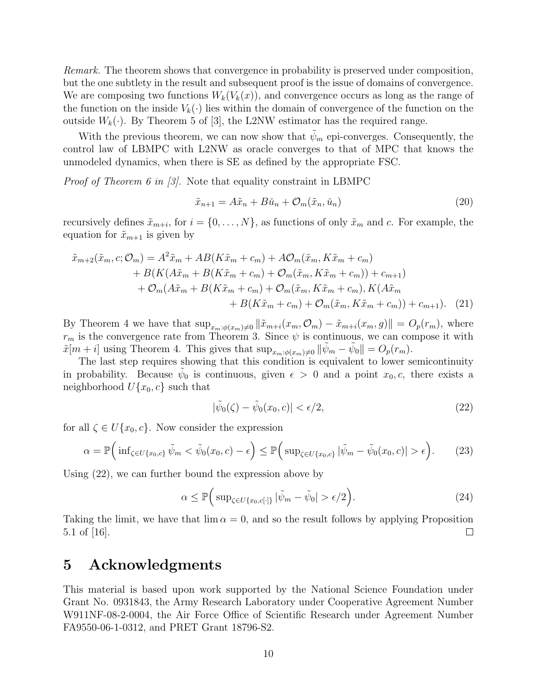Remark. The theorem shows that convergence in probability is preserved under composition, but the one subtlety in the result and subsequent proof is the issue of domains of convergence. We are composing two functions  $W_k(V_k(x))$ , and convergence occurs as long as the range of the function on the inside  $V_k(\cdot)$  lies within the domain of convergence of the function on the outside  $W_k(\cdot)$ . By Theorem 5 of [3], the L2NW estimator has the required range.

With the previous theorem, we can now show that  $\tilde{\psi}_m$  epi-converges. Consequently, the control law of LBMPC with L2NW as oracle converges to that of MPC that knows the unmodeled dynamics, when there is SE as defined by the appropriate FSC.

*Proof of Theorem 6 in [3]*. Note that equality constraint in LBMPC

$$
\tilde{x}_{n+1} = A\tilde{x}_n + B\tilde{u}_n + \mathcal{O}_m(\tilde{x}_n, \tilde{u}_n)
$$
\n<sup>(20)</sup>

recursively defines  $\tilde{x}_{m+i}$ , for  $i = \{0, \ldots, N\}$ , as functions of only  $\tilde{x}_m$  and c. For example, the equation for  $\tilde{x}_{m+1}$  is given by

$$
\tilde{x}_{m+2}(\tilde{x}_m, c; \mathcal{O}_m) = A^2 \tilde{x}_m + AB(K\tilde{x}_m + c_m) + A\mathcal{O}_m(\tilde{x}_m, K\tilde{x}_m + c_m) \n+ B(K(A\tilde{x}_m + B(K\tilde{x}_m + c_m) + \mathcal{O}_m(\tilde{x}_m, K\tilde{x}_m + c_m)) + c_{m+1}) \n+ \mathcal{O}_m(A\tilde{x}_m + B(K\tilde{x}_m + c_m) + \mathcal{O}_m(\tilde{x}_m, K\tilde{x}_m + c_m), K(A\tilde{x}_m + c_m) + B(K\tilde{x}_m + c_m) + \mathcal{O}_m(\tilde{x}_m, K\tilde{x}_m + c_m)) + c_{m+1}).
$$
\n(21)

By Theorem 4 we have that  $\sup_{x_m:\phi(x_m)\neq 0} ||\tilde{x}_{m+i}(x_m, \mathcal{O}_m) - \tilde{x}_{m+i}(x_m, g)|| = O_p(r_m)$ , where  $r_m$  is the convergence rate from Theorem 3. Since  $\psi$  is continuous, we can compose it with  $\tilde{x}[m+i]$  using Theorem 4. This gives that  $\sup_{x_m:\phi(x_m)\neq 0} \|\tilde{\psi}_m - \tilde{\psi}_0\| = O_p(r_m)$ .

The last step requires showing that this condition is equivalent to lower semicontinuity in probability. Because  $\tilde{\psi}_0$  is continuous, given  $\epsilon > 0$  and a point  $x_0, c$ , there exists a neighborhood  $U{x_0, c}$  such that

$$
|\tilde{\psi}_0(\zeta) - \tilde{\psi}_0(x_0, c)| < \epsilon/2,\tag{22}
$$

for all  $\zeta \in U\{x_0, c\}$ . Now consider the expression

$$
\alpha = \mathbb{P}\Big(\inf_{\zeta \in U\{x_0, c\}} \tilde{\psi}_m < \tilde{\psi}_0(x_0, c) - \epsilon\Big) \le \mathbb{P}\Big(\sup_{\zeta \in U\{x_0, c\}} |\tilde{\psi}_m - \tilde{\psi}_0(x_0, c)| > \epsilon\Big). \tag{23}
$$

Using (22), we can further bound the expression above by

$$
\alpha \le \mathbb{P}\Big(\sup_{\zeta \in U\{x_0, c[\cdot]\}} |\tilde{\psi}_m - \tilde{\psi}_0| > \epsilon/2\Big). \tag{24}
$$

Taking the limit, we have that  $\lim \alpha = 0$ , and so the result follows by applying Proposition 5.1 of  $|16|$ .  $\Box$ 

## 5 Acknowledgments

This material is based upon work supported by the National Science Foundation under Grant No. 0931843, the Army Research Laboratory under Cooperative Agreement Number W911NF-08-2-0004, the Air Force Office of Scientific Research under Agreement Number FA9550-06-1-0312, and PRET Grant 18796-S2.